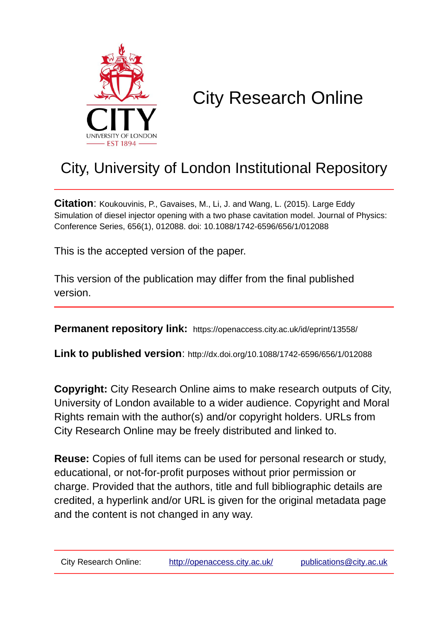

# City Research Online

## City, University of London Institutional Repository

**Citation**: Koukouvinis, P., Gavaises, M., Li, J. and Wang, L. (2015). Large Eddy Simulation of diesel injector opening with a two phase cavitation model. Journal of Physics: Conference Series, 656(1), 012088. doi: 10.1088/1742-6596/656/1/012088

This is the accepted version of the paper.

This version of the publication may differ from the final published version.

**Permanent repository link:** https://openaccess.city.ac.uk/id/eprint/13558/

**Link to published version**: http://dx.doi.org/10.1088/1742-6596/656/1/012088

**Copyright:** City Research Online aims to make research outputs of City, University of London available to a wider audience. Copyright and Moral Rights remain with the author(s) and/or copyright holders. URLs from City Research Online may be freely distributed and linked to.

**Reuse:** Copies of full items can be used for personal research or study, educational, or not-for-profit purposes without prior permission or charge. Provided that the authors, title and full bibliographic details are credited, a hyperlink and/or URL is given for the original metadata page and the content is not changed in any way.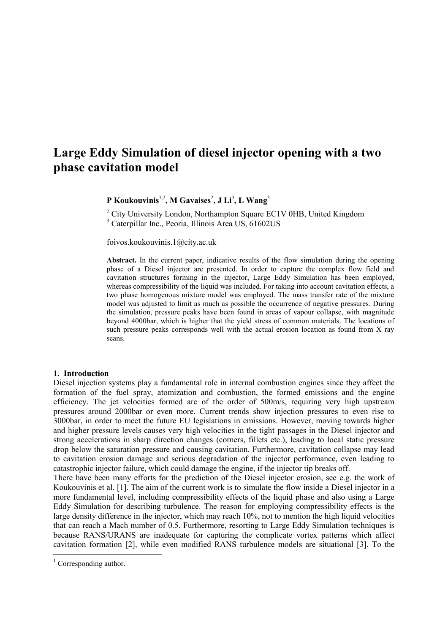### **Large Eddy Simulation of diesel injector opening with a two phase cavitation model**

**P** Koukouvinis<sup>1,2</sup>, M Gavaises<sup>2</sup>, J Li<sup>3</sup>, L Wang<sup>3</sup>

<sup>2</sup> City University London, Northampton Square EC1V 0HB, United Kingdom <sup>3</sup> Caterpillar Inc., Peoria, Illinois Area US, 61602US

foivos.koukouvinis.1@city.ac.uk

**Abstract.** In the current paper, indicative results of the flow simulation during the opening phase of a Diesel injector are presented. In order to capture the complex flow field and cavitation structures forming in the injector, Large Eddy Simulation has been employed, whereas compressibility of the liquid was included. For taking into account cavitation effects, a two phase homogenous mixture model was employed. The mass transfer rate of the mixture model was adjusted to limit as much as possible the occurrence of negative pressures. During the simulation, pressure peaks have been found in areas of vapour collapse, with magnitude beyond 4000bar, which is higher that the yield stress of common materials. The locations of such pressure peaks corresponds well with the actual erosion location as found from X ray scans.

#### **1. Introduction**

Diesel injection systems play a fundamental role in internal combustion engines since they affect the formation of the fuel spray, atomization and combustion, the formed emissions and the engine efficiency. The jet velocities formed are of the order of 500m/s, requiring very high upstream pressures around 2000bar or even more. Current trends show injection pressures to even rise to 3000bar, in order to meet the future EU legislations in emissions. However, moving towards higher and higher pressure levels causes very high velocities in the tight passages in the Diesel injector and strong accelerations in sharp direction changes (corners, fillets etc.), leading to local static pressure drop below the saturation pressure and causing cavitation. Furthermore, cavitation collapse may lead to cavitation erosion damage and serious degradation of the injector performance, even leading to catastrophic injector failure, which could damage the engine, if the injector tip breaks off.

There have been many efforts for the prediction of the Diesel injector erosion, see e.g. the work of Koukouvinis et al. [\[1\]](#page-4-0). The aim of the current work is to simulate the flow inside a Diesel injector in a more fundamental level, including compressibility effects of the liquid phase and also using a Large Eddy Simulation for describing turbulence. The reason for employing compressibility effects is the large density difference in the injector, which may reach 10%, not to mention the high liquid velocities that can reach a Mach number of 0.5. Furthermore, resorting to Large Eddy Simulation techniques is because RANS/URANS are inadequate for capturing the complicate vortex patterns which affect cavitation formation [\[2\]](#page-4-1), while even modified RANS turbulence models are situational [\[3\]](#page-4-2). To the

l

 $1$  Corresponding author.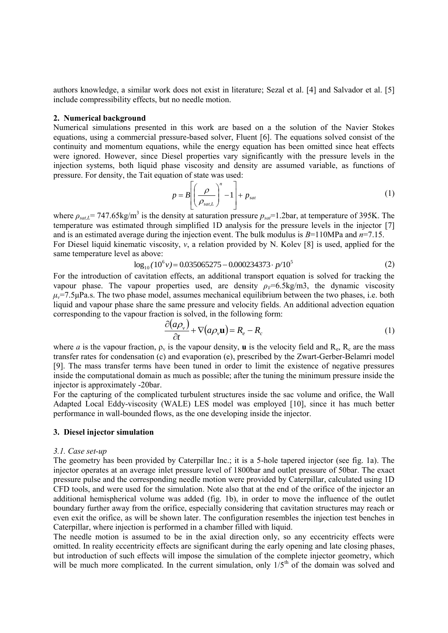authors knowledge, a similar work does not exist in literature; Sezal et al. [\[4\]](#page-4-3) and Salvador et al. [\[5\]](#page-4-4) include compressibility effects, but no needle motion.

#### **2. Numerical background**

Numerical simulations presented in this work are based on a the solution of the Navier Stokes equations, using a commercial pressure-based solver, Fluent [\[6\]](#page-4-5). The equations solved consist of the continuity and momentum equations, while the energy equation has been omitted since heat effects were ignored. However, since Diesel properties vary significantly with the pressure levels in the injection systems, both liquid phase viscosity and density are assumed variable, as functions of pressure. For density, the Tait equation of state was used:

$$
p = B \left[ \left( \frac{\rho}{\rho_{sat,L}} \right)^n - 1 \right] + p_{sat} \tag{1}
$$

where  $\rho_{sat,L}$ = 747.65kg/m<sup>3</sup> is the density at saturation pressure  $p_{sat}$ =1.2bar, at temperature of 395K. The temperature was estimated through simplified 1D analysis for the pressure levels in the injector [\[7\]](#page-4-6) and is an estimated average during the injection event. The bulk modulus is *B*=110MPa and *n*=7.15. For Diesel liquid kinematic viscosity, *v*, a relation provided by N. Kolev [\[8\]](#page-4-7) is used, applied for the same temperature level as above: log<sub>10</sub>  $(10^6 v) = 0.035065275 - 0.000234373 \cdot p/10$ 

$$
\log_{10}(10^6 \nu) = 0.035065275 - 0.000234373 \cdot p/10^5 \tag{2}
$$

For the introduction of cavitation effects, an additional transport equation is solved for tracking the vapour phase. The vapour properties used, are density  $\rho_V = 6.5 \text{kg/m3}$ , the dynamic viscosity  $\mu_v$ =7.5 $\mu$ Pa.s. The two phase model, assumes mechanical equilibrium between the two phases, i.e. both liquid and vapour phase share the same pressure and velocity fields. An additional advection equation corresponding to the vapour fraction is solved, in the following form:

$$
\frac{\partial (a\rho_v)}{\partial t} + \nabla (a\rho_v \mathbf{u}) = R_e - R_c \tag{1}
$$

where *a* is the vapour fraction,  $\rho_v$  is the vapour density, **u** is the velocity field and  $R_e$ ,  $R_c$  are the mass transfer rates for condensation (c) and evaporation (e), prescribed by the Zwart-Gerber-Belamri model [\[9\]](#page-4-8). The mass transfer terms have been tuned in order to limit the existence of negative pressures inside the computational domain as much as possible; after the tuning the minimum pressure inside the injector is approximately -20bar.

For the capturing of the complicated turbulent structures inside the sac volume and orifice, the Wall Adapted Local Eddy-viscosity (WALE) LES model was employed [\[10\]](#page-4-9), since it has much better performance in wall-bounded flows, as the one developing inside the injector.

#### **3. Diesel injector simulation**

#### *3.1. Case set-up*

The geometry has been provided by Caterpillar Inc.; it is a 5-hole tapered injector (see fig. 1a). The injector operates at an average inlet pressure level of 1800bar and outlet pressure of 50bar. The exact pressure pulse and the corresponding needle motion were provided by Caterpillar, calculated using 1D CFD tools, and were used for the simulation. Note also that at the end of the orifice of the injector an additional hemispherical volume was added (fig. 1b), in order to move the influence of the outlet boundary further away from the orifice, especially considering that cavitation structures may reach or even exit the orifice, as will be shown later. The configuration resembles the injection test benches in Caterpillar, where injection is performed in a chamber filled with liquid.

The needle motion is assumed to be in the axial direction only, so any eccentricity effects were omitted. In reality eccentricity effects are significant during the early opening and late closing phases, but introduction of such effects will impose the simulation of the complete injector geometry, which will be much more complicated. In the current simulation, only  $1/5<sup>th</sup>$  of the domain was solved and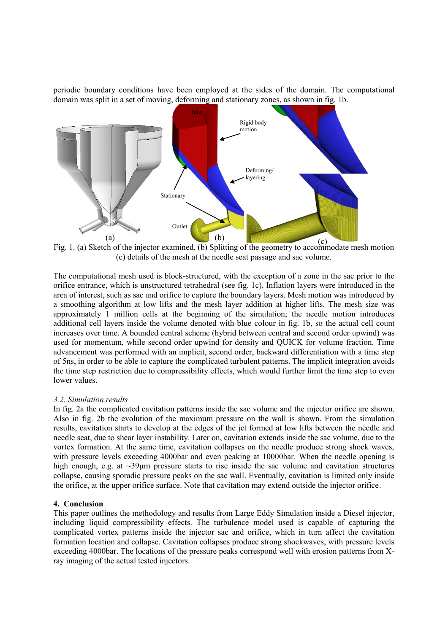periodic boundary conditions have been employed at the sides of the domain. The computational domain was split in a set of moving, deforming and stationary zones, as shown in fig. 1b.



Fig. 1. (a) Sketch of the injector examined, (b) Splitting of the geometry to accommodate mesh motion (c) details of the mesh at the needle seat passage and sac volume.

The computational mesh used is block-structured, with the exception of a zone in the sac prior to the orifice entrance, which is unstructured tetrahedral (see fig. 1c). Inflation layers were introduced in the area of interest, such as sac and orifice to capture the boundary layers. Mesh motion was introduced by a smoothing algorithm at low lifts and the mesh layer addition at higher lifts. The mesh size was approximately 1 million cells at the beginning of the simulation; the needle motion introduces additional cell layers inside the volume denoted with blue colour in fig. 1b, so the actual cell count increases over time. A bounded central scheme (hybrid between central and second order upwind) was used for momentum, while second order upwind for density and QUICK for volume fraction. Time advancement was performed with an implicit, second order, backward differentiation with a time step of 5ns, in order to be able to capture the complicated turbulent patterns. The implicit integration avoids the time step restriction due to compressibility effects, which would further limit the time step to even lower values.

#### *3.2. Simulation results*

In fig. 2a the complicated cavitation patterns inside the sac volume and the injector orifice are shown. Also in fig. 2b the evolution of the maximum pressure on the wall is shown. From the simulation results, cavitation starts to develop at the edges of the jet formed at low lifts between the needle and needle seat, due to shear layer instability. Later on, cavitation extends inside the sac volume, due to the vortex formation. At the same time, cavitation collapses on the needle produce strong shock waves, with pressure levels exceeding 4000bar and even peaking at 10000bar. When the needle opening is high enough, e.g. at  $\sim$ 39 $\mu$ m pressure starts to rise inside the sac volume and cavitation structures collapse, causing sporadic pressure peaks on the sac wall. Eventually, cavitation is limited only inside the orifice, at the upper orifice surface. Note that cavitation may extend outside the injector orifice.

#### **4. Conclusion**

This paper outlines the methodology and results from Large Eddy Simulation inside a Diesel injector, including liquid compressibility effects. The turbulence model used is capable of capturing the complicated vortex patterns inside the injector sac and orifice, which in turn affect the cavitation formation location and collapse. Cavitation collapses produce strong shockwaves, with pressure levels exceeding 4000bar. The locations of the pressure peaks correspond well with erosion patterns from Xray imaging of the actual tested injectors.